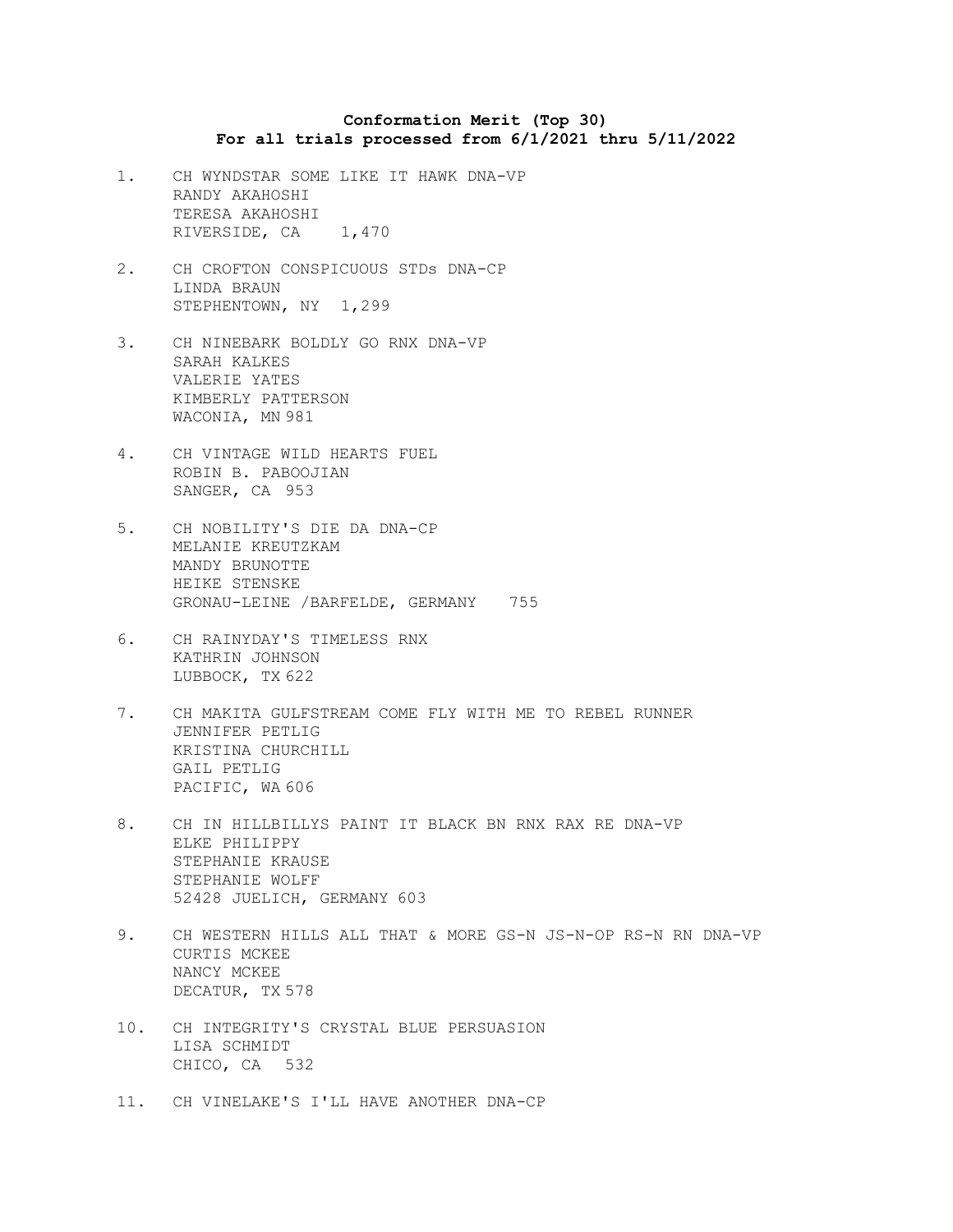## **Conformation Merit (Top 30) For all trials processed from 6/1/2021 thru 5/11/2022**

- 1. CH WYNDSTAR SOME LIKE IT HAWK DNA-VP RANDY AKAHOSHI TERESA AKAHOSHI RIVERSIDE, CA 1,470
- 2. CH CROFTON CONSPICUOUS STDs DNA-CP LINDA BRAUN STEPHENTOWN, NY 1,299
- 3. CH NINEBARK BOLDLY GO RNX DNA-VP SARAH KALKES VALERIE YATES KIMBERLY PATTERSON WACONIA, MN 981
- 4. CH VINTAGE WILD HEARTS FUEL ROBIN B. PABOOJIAN SANGER, CA 953
- 5. CH NOBILITY'S DIE DA DNA-CP MELANIE KREUTZKAM MANDY BRUNOTTE HEIKE STENSKE GRONAU-LEINE /BARFELDE, GERMANY 755
- 6. CH RAINYDAY'S TIMELESS RNX KATHRIN JOHNSON LUBBOCK, TX 622
- 7. CH MAKITA GULFSTREAM COME FLY WITH ME TO REBEL RUNNER JENNIFER PETLIG KRISTINA CHURCHILL GAIL PETLIG PACIFIC, WA 606
- 8. CH IN HILLBILLYS PAINT IT BLACK BN RNX RAX RE DNA-VP ELKE PHILIPPY STEPHANIE KRAUSE STEPHANIE WOLFF 52428 JUELICH, GERMANY 603
- 9. CH WESTERN HILLS ALL THAT & MORE GS-N JS-N-OP RS-N RN DNA-VP CURTIS MCKEE NANCY MCKEE DECATUR, TX 578
- 10. CH INTEGRITY'S CRYSTAL BLUE PERSUASION LISA SCHMIDT CHICO, CA 532
- 11. CH VINELAKE'S I'LL HAVE ANOTHER DNA-CP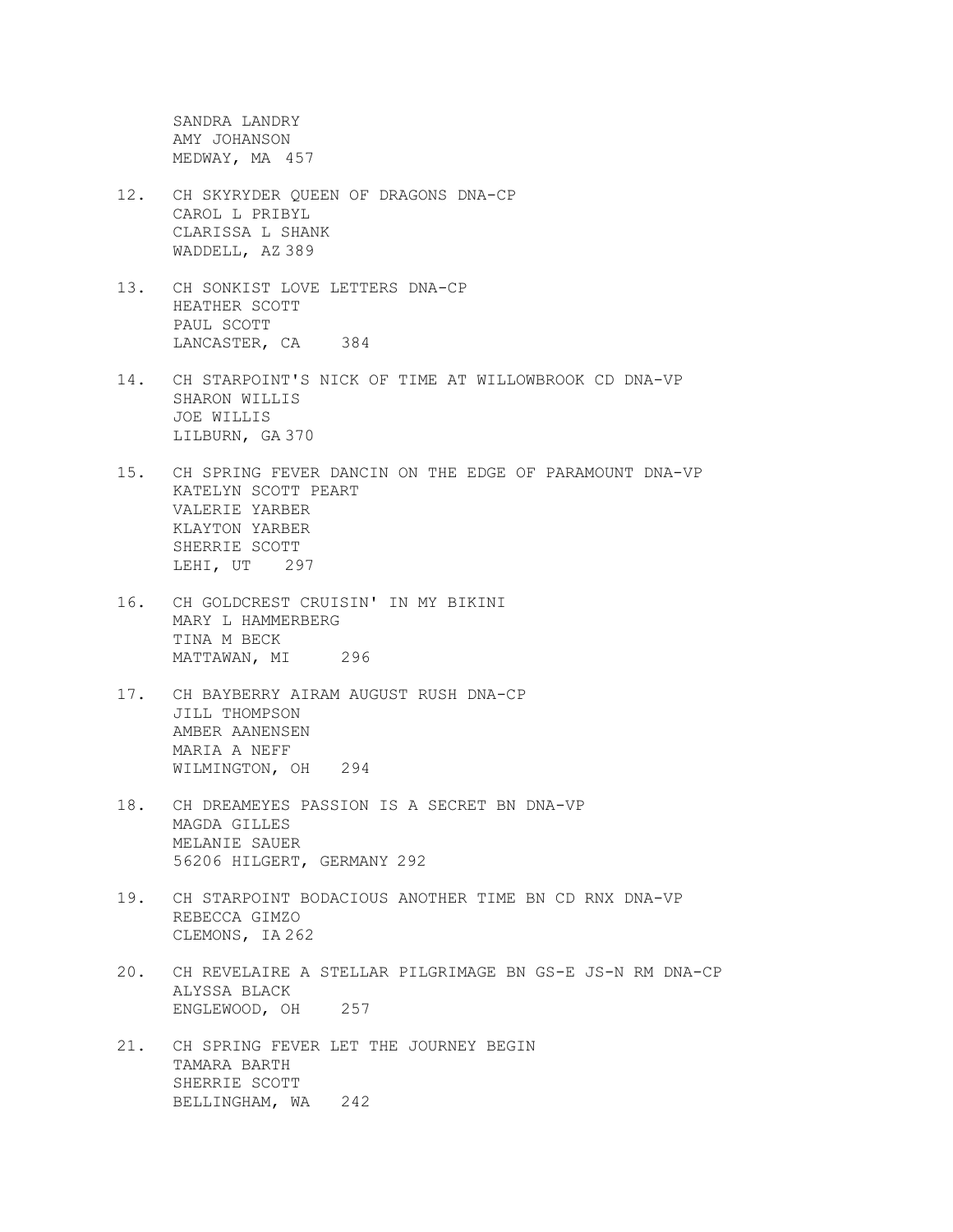SANDRA LANDRY AMY JOHANSON MEDWAY, MA 457

- 12. CH SKYRYDER QUEEN OF DRAGONS DNA-CP CAROL L PRIBYL CLARISSA L SHANK WADDELL, AZ 389
- 13. CH SONKIST LOVE LETTERS DNA-CP HEATHER SCOTT PAUL SCOTT LANCASTER, CA 384
- 14. CH STARPOINT'S NICK OF TIME AT WILLOWBROOK CD DNA-VP SHARON WILLIS JOE WILLIS LILBURN, GA 370
- 15. CH SPRING FEVER DANCIN ON THE EDGE OF PARAMOUNT DNA-VP KATELYN SCOTT PEART VALERIE YARBER KLAYTON YARBER SHERRIE SCOTT LEHI, UT 297
- 16. CH GOLDCREST CRUISIN' IN MY BIKINI MARY L HAMMERBERG TINA M BECK MATTAWAN, MI 296
- 17. CH BAYBERRY AIRAM AUGUST RUSH DNA-CP JILL THOMPSON AMBER AANENSEN MARIA A NEFF WILMINGTON, OH 294
- 18. CH DREAMEYES PASSION IS A SECRET BN DNA-VP MAGDA GILLES MELANIE SAUER 56206 HILGERT, GERMANY 292
- 19. CH STARPOINT BODACIOUS ANOTHER TIME BN CD RNX DNA-VP REBECCA GIMZO CLEMONS, IA 262
- 20. CH REVELAIRE A STELLAR PILGRIMAGE BN GS-E JS-N RM DNA-CP ALYSSA BLACK ENGLEWOOD, OH 257
- 21. CH SPRING FEVER LET THE JOURNEY BEGIN TAMARA BARTH SHERRIE SCOTT BELLINGHAM, WA 242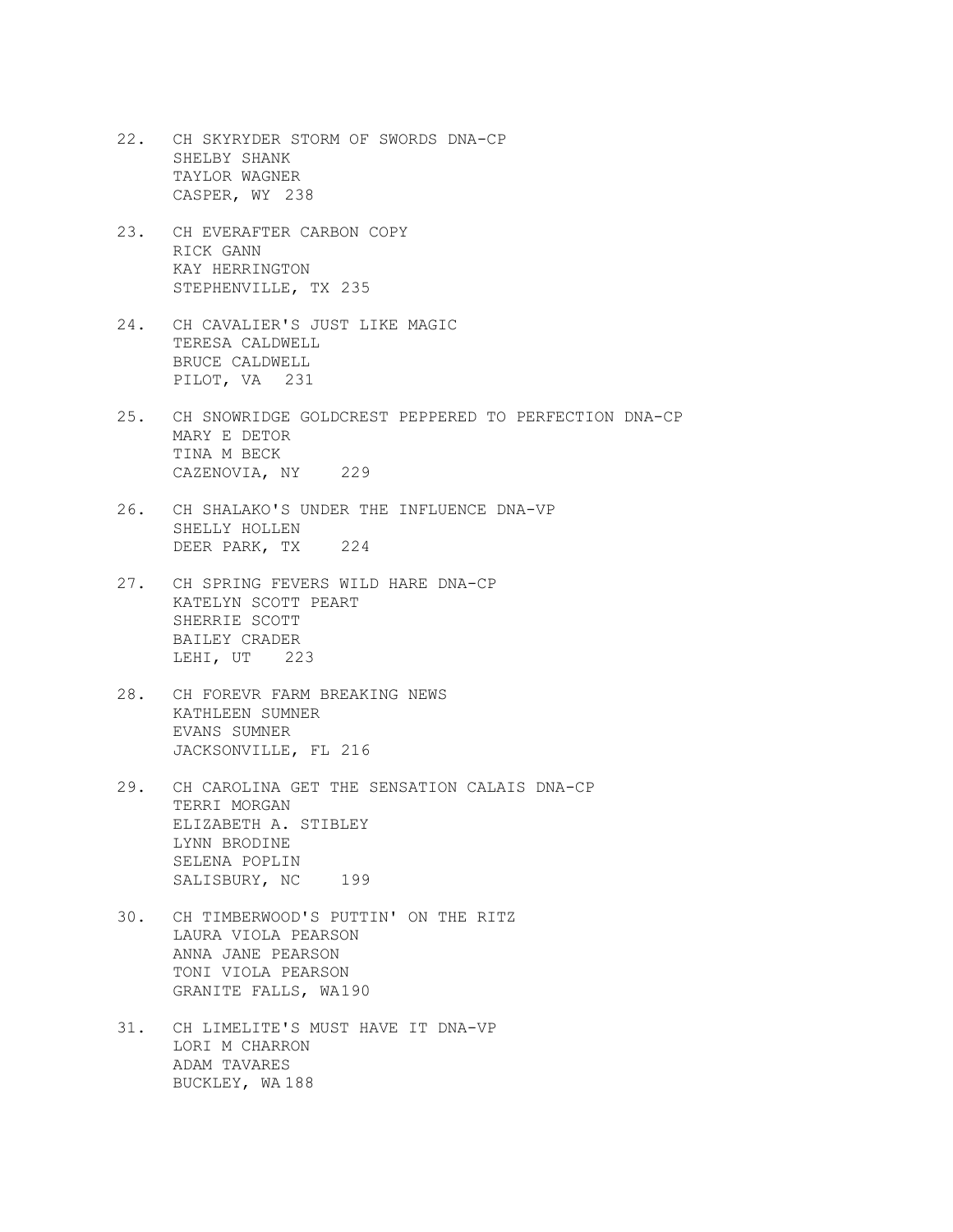- 22. CH SKYRYDER STORM OF SWORDS DNA-CP SHELBY SHANK TAYLOR WAGNER CASPER, WY 238
- 23. CH EVERAFTER CARBON COPY RICK GANN KAY HERRINGTON STEPHENVILLE, TX 235
- 24. CH CAVALIER'S JUST LIKE MAGIC TERESA CALDWELL BRUCE CALDWELL PILOT, VA 231
- 25. CH SNOWRIDGE GOLDCREST PEPPERED TO PERFECTION DNA-CP MARY E DETOR TINA M BECK CAZENOVIA, NY 229
- 26. CH SHALAKO'S UNDER THE INFLUENCE DNA-VP SHELLY HOLLEN DEER PARK, TX 224
- 27. CH SPRING FEVERS WILD HARE DNA-CP KATELYN SCOTT PEART SHERRIE SCOTT BAILEY CRADER LEHI, UT 223
- 28. CH FOREVR FARM BREAKING NEWS KATHLEEN SUMNER EVANS SUMNER JACKSONVILLE, FL 216
- 29. CH CAROLINA GET THE SENSATION CALAIS DNA-CP TERRI MORGAN ELIZABETH A. STIBLEY LYNN BRODINE SELENA POPLIN SALISBURY, NC 199
- 30. CH TIMBERWOOD'S PUTTIN' ON THE RITZ LAURA VIOLA PEARSON ANNA JANE PEARSON TONI VIOLA PEARSON GRANITE FALLS, WA190
- 31. CH LIMELITE'S MUST HAVE IT DNA-VP LORI M CHARRON ADAM TAVARES BUCKLEY, WA 188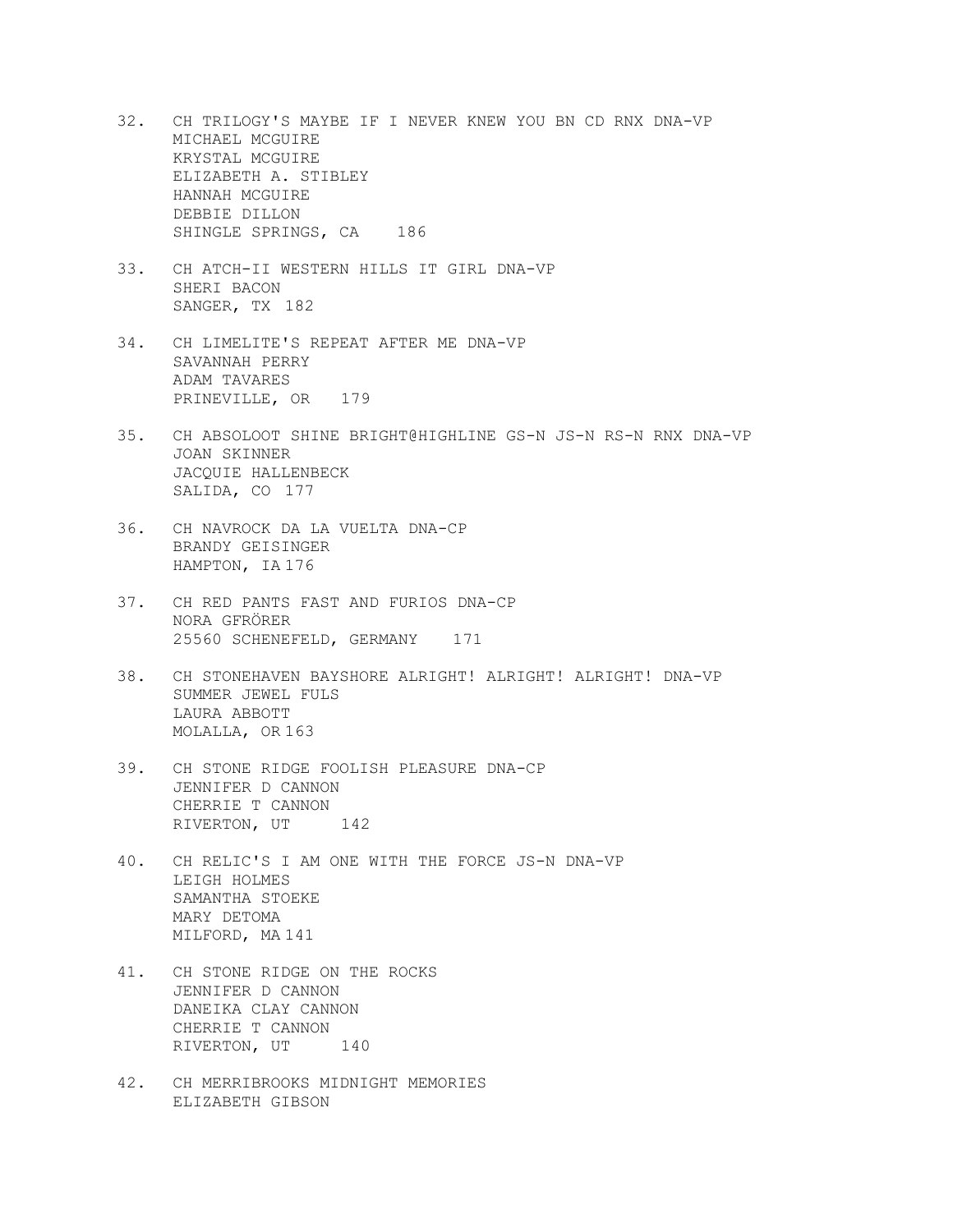- 32. CH TRILOGY'S MAYBE IF I NEVER KNEW YOU BN CD RNX DNA-VP MICHAEL MCGUIRE KRYSTAL MCGUIRE ELIZABETH A. STIBLEY HANNAH MCGUIRE DEBBIE DILLON SHINGLE SPRINGS, CA 186
- 33. CH ATCH-II WESTERN HILLS IT GIRL DNA-VP SHERI BACON SANGER, TX 182
- 34. CH LIMELITE'S REPEAT AFTER ME DNA-VP SAVANNAH PERRY ADAM TAVARES PRINEVILLE, OR 179
- 35. CH ABSOLOOT SHINE BRIGHT@HIGHLINE GS-N JS-N RS-N RNX DNA-VP JOAN SKINNER JACQUIE HALLENBECK SALIDA, CO 177
- 36. CH NAVROCK DA LA VUELTA DNA-CP BRANDY GEISINGER HAMPTON, IA 176
- 37. CH RED PANTS FAST AND FURIOS DNA-CP NORA GFRÖRER 25560 SCHENEFELD, GERMANY 171
- 38. CH STONEHAVEN BAYSHORE ALRIGHT! ALRIGHT! ALRIGHT! DNA-VP SUMMER JEWEL FULS LAURA ABBOTT MOLALLA, OR 163
- 39. CH STONE RIDGE FOOLISH PLEASURE DNA-CP JENNIFER D CANNON CHERRIE T CANNON RIVERTON, UT<sub>142</sub>
- 40. CH RELIC'S I AM ONE WITH THE FORCE JS-N DNA-VP LEIGH HOLMES SAMANTHA STOEKE MARY DETOMA MILFORD, MA 141
- 41. CH STONE RIDGE ON THE ROCKS JENNIFER D CANNON DANEIKA CLAY CANNON CHERRIE T CANNON RIVERTON, UT
140
- 42. CH MERRIBROOKS MIDNIGHT MEMORIES ELIZABETH GIBSON